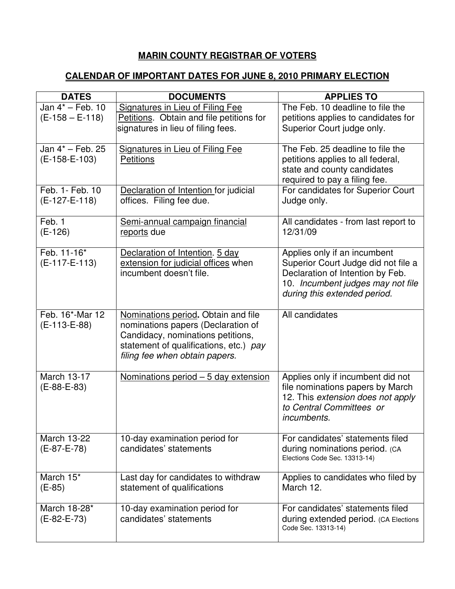## **MARIN COUNTY REGISTRAR OF VOTERS**

## **CALENDAR OF IMPORTANT DATES FOR JUNE 8, 2010 PRIMARY ELECTION**

| <b>DATES</b>                          | <b>DOCUMENTS</b>                                                                                                                                                                           | <b>APPLIES TO</b>                                                                                                                                                            |
|---------------------------------------|--------------------------------------------------------------------------------------------------------------------------------------------------------------------------------------------|------------------------------------------------------------------------------------------------------------------------------------------------------------------------------|
| Jan 4* - Feb. 10<br>$(E-158 - E-118)$ | Signatures in Lieu of Filing Fee<br>Petitions. Obtain and file petitions for<br>signatures in lieu of filing fees.                                                                         | The Feb. 10 deadline to file the<br>petitions applies to candidates for<br>Superior Court judge only.                                                                        |
| Jan 4* - Feb. 25<br>$(E-158-E-103)$   | <b>Signatures in Lieu of Filing Fee</b><br><b>Petitions</b>                                                                                                                                | The Feb. 25 deadline to file the<br>petitions applies to all federal,<br>state and county candidates<br>required to pay a filing fee.                                        |
| Feb. 1- Feb. 10<br>(E-127-E-118)      | Declaration of Intention for judicial<br>offices. Filing fee due.                                                                                                                          | For candidates for Superior Court<br>Judge only.                                                                                                                             |
| Feb. 1<br>$(E-126)$                   | Semi-annual campaign financial<br>reports due                                                                                                                                              | All candidates - from last report to<br>12/31/09                                                                                                                             |
| Feb. 11-16*<br>$(E-117-E-113)$        | Declaration of Intention. 5 day<br>extension for judicial offices when<br>incumbent doesn't file.                                                                                          | Applies only if an incumbent<br>Superior Court Judge did not file a<br>Declaration of Intention by Feb.<br>10. Incumbent judges may not file<br>during this extended period. |
| Feb. 16*-Mar 12<br>(E-113-E-88)       | Nominations period. Obtain and file<br>nominations papers (Declaration of<br>Candidacy, nominations petitions,<br>statement of qualifications, etc.) pay<br>filing fee when obtain papers. | All candidates                                                                                                                                                               |
| <b>March 13-17</b><br>$(E-88-E-83)$   | <u>Nominations period – 5 day extension</u>                                                                                                                                                | Applies only if incumbent did not<br>file nominations papers by March<br>12. This extension does not apply<br>to Central Committees or<br><i>incumbents.</i>                 |
| March 13-22<br>$(E-87-E-78)$          | 10-day examination period for<br>candidates' statements                                                                                                                                    | For candidates' statements filed<br>during nominations period. (CA<br>Elections Code Sec. 13313-14)                                                                          |
| March 15*<br>$(E-85)$                 | Last day for candidates to withdraw<br>statement of qualifications                                                                                                                         | Applies to candidates who filed by<br>March 12.                                                                                                                              |
| March 18-28*<br>(E-82-E-73)           | 10-day examination period for<br>candidates' statements                                                                                                                                    | For candidates' statements filed<br>during extended period. (CA Elections<br>Code Sec. 13313-14)                                                                             |